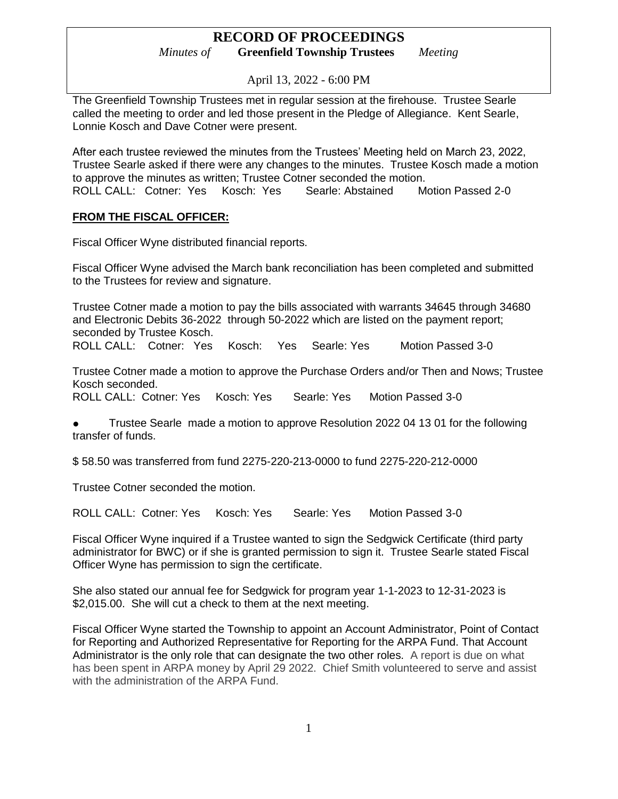April 13, 2022 - 6:00 PM

The Greenfield Township Trustees met in regular session at the firehouse. Trustee Searle called the meeting to order and led those present in the Pledge of Allegiance. Kent Searle, Lonnie Kosch and Dave Cotner were present.

After each trustee reviewed the minutes from the Trustees' Meeting held on March 23, 2022, Trustee Searle asked if there were any changes to the minutes. Trustee Kosch made a motion to approve the minutes as written; Trustee Cotner seconded the motion. ROLL CALL: Cotner: Yes Kosch: Yes Searle: Abstained Motion Passed 2-0

### **FROM THE FISCAL OFFICER:**

Fiscal Officer Wyne distributed financial reports.

Fiscal Officer Wyne advised the March bank reconciliation has been completed and submitted to the Trustees for review and signature.

Trustee Cotner made a motion to pay the bills associated with warrants 34645 through 34680 and Electronic Debits 36-2022 through 50-2022 which are listed on the payment report; seconded by Trustee Kosch.

ROLL CALL: Cotner: Yes Kosch: Yes Searle: Yes Motion Passed 3-0

Trustee Cotner made a motion to approve the Purchase Orders and/or Then and Nows; Trustee Kosch seconded.

ROLL CALL: Cotner: Yes Kosch: Yes Searle: Yes Motion Passed 3-0

● Trustee Searle made a motion to approve Resolution 2022 04 13 01 for the following transfer of funds.

\$ 58.50 was transferred from fund 2275-220-213-0000 to fund 2275-220-212-0000

Trustee Cotner seconded the motion.

ROLL CALL: Cotner: Yes Kosch: Yes Searle: Yes Motion Passed 3-0

Fiscal Officer Wyne inquired if a Trustee wanted to sign the Sedgwick Certificate (third party administrator for BWC) or if she is granted permission to sign it. Trustee Searle stated Fiscal Officer Wyne has permission to sign the certificate.

She also stated our annual fee for Sedgwick for program year 1-1-2023 to 12-31-2023 is \$2,015.00. She will cut a check to them at the next meeting.

Fiscal Officer Wyne started the Township to appoint an Account Administrator, Point of Contact for Reporting and Authorized Representative for Reporting for the ARPA Fund. That Account Administrator is the only role that can designate the two other roles. A report is due on what has been spent in ARPA money by April 29 2022. Chief Smith volunteered to serve and assist with the administration of the ARPA Fund.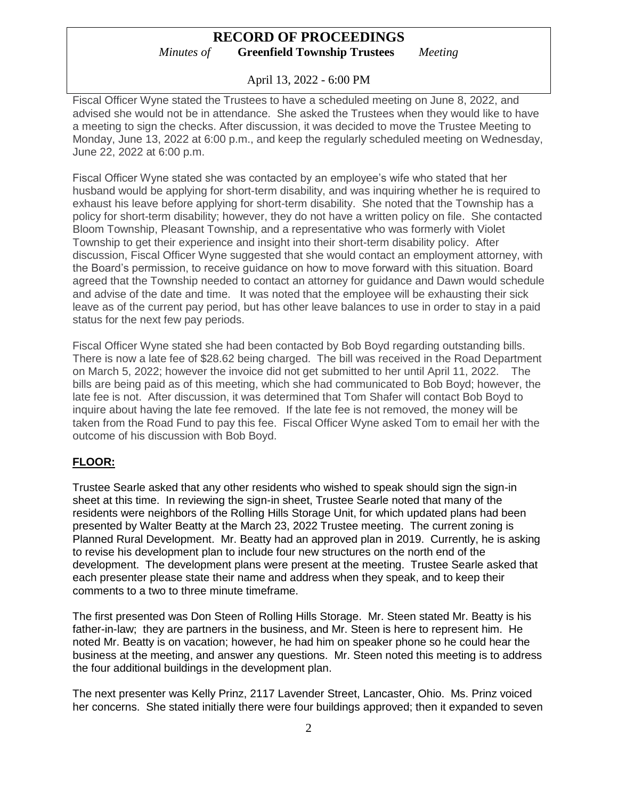April 13, 2022 - 6:00 PM

Fiscal Officer Wyne stated the Trustees to have a scheduled meeting on June 8, 2022, and advised she would not be in attendance. She asked the Trustees when they would like to have a meeting to sign the checks. After discussion, it was decided to move the Trustee Meeting to Monday, June 13, 2022 at 6:00 p.m., and keep the regularly scheduled meeting on Wednesday, June 22, 2022 at 6:00 p.m.

Fiscal Officer Wyne stated she was contacted by an employee's wife who stated that her husband would be applying for short-term disability, and was inquiring whether he is required to exhaust his leave before applying for short-term disability. She noted that the Township has a policy for short-term disability; however, they do not have a written policy on file. She contacted Bloom Township, Pleasant Township, and a representative who was formerly with Violet Township to get their experience and insight into their short-term disability policy. After discussion, Fiscal Officer Wyne suggested that she would contact an employment attorney, with the Board's permission, to receive guidance on how to move forward with this situation. Board agreed that the Township needed to contact an attorney for guidance and Dawn would schedule and advise of the date and time. It was noted that the employee will be exhausting their sick leave as of the current pay period, but has other leave balances to use in order to stay in a paid status for the next few pay periods.

Fiscal Officer Wyne stated she had been contacted by Bob Boyd regarding outstanding bills. There is now a late fee of \$28.62 being charged. The bill was received in the Road Department on March 5, 2022; however the invoice did not get submitted to her until April 11, 2022. The bills are being paid as of this meeting, which she had communicated to Bob Boyd; however, the late fee is not. After discussion, it was determined that Tom Shafer will contact Bob Boyd to inquire about having the late fee removed. If the late fee is not removed, the money will be taken from the Road Fund to pay this fee. Fiscal Officer Wyne asked Tom to email her with the outcome of his discussion with Bob Boyd.

#### **FLOOR:**

Trustee Searle asked that any other residents who wished to speak should sign the sign-in sheet at this time. In reviewing the sign-in sheet, Trustee Searle noted that many of the residents were neighbors of the Rolling Hills Storage Unit, for which updated plans had been presented by Walter Beatty at the March 23, 2022 Trustee meeting. The current zoning is Planned Rural Development. Mr. Beatty had an approved plan in 2019. Currently, he is asking to revise his development plan to include four new structures on the north end of the development. The development plans were present at the meeting. Trustee Searle asked that each presenter please state their name and address when they speak, and to keep their comments to a two to three minute timeframe.

The first presented was Don Steen of Rolling Hills Storage. Mr. Steen stated Mr. Beatty is his father-in-law; they are partners in the business, and Mr. Steen is here to represent him. He noted Mr. Beatty is on vacation; however, he had him on speaker phone so he could hear the business at the meeting, and answer any questions. Mr. Steen noted this meeting is to address the four additional buildings in the development plan.

The next presenter was Kelly Prinz, 2117 Lavender Street, Lancaster, Ohio. Ms. Prinz voiced her concerns. She stated initially there were four buildings approved; then it expanded to seven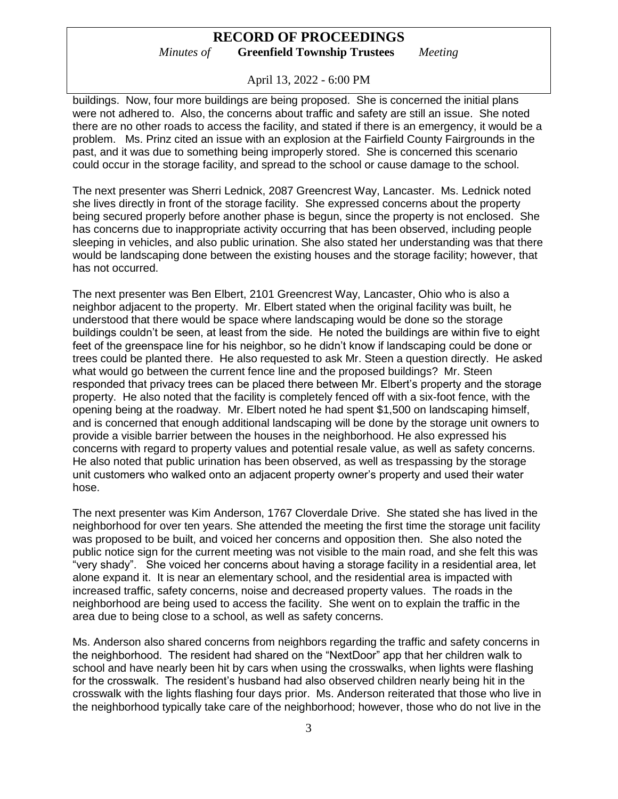April 13, 2022 - 6:00 PM

buildings. Now, four more buildings are being proposed. She is concerned the initial plans were not adhered to. Also, the concerns about traffic and safety are still an issue. She noted there are no other roads to access the facility, and stated if there is an emergency, it would be a problem. Ms. Prinz cited an issue with an explosion at the Fairfield County Fairgrounds in the past, and it was due to something being improperly stored. She is concerned this scenario could occur in the storage facility, and spread to the school or cause damage to the school.

The next presenter was Sherri Lednick, 2087 Greencrest Way, Lancaster. Ms. Lednick noted she lives directly in front of the storage facility. She expressed concerns about the property being secured properly before another phase is begun, since the property is not enclosed. She has concerns due to inappropriate activity occurring that has been observed, including people sleeping in vehicles, and also public urination. She also stated her understanding was that there would be landscaping done between the existing houses and the storage facility; however, that has not occurred.

The next presenter was Ben Elbert, 2101 Greencrest Way, Lancaster, Ohio who is also a neighbor adjacent to the property. Mr. Elbert stated when the original facility was built, he understood that there would be space where landscaping would be done so the storage buildings couldn't be seen, at least from the side. He noted the buildings are within five to eight feet of the greenspace line for his neighbor, so he didn't know if landscaping could be done or trees could be planted there. He also requested to ask Mr. Steen a question directly. He asked what would go between the current fence line and the proposed buildings? Mr. Steen responded that privacy trees can be placed there between Mr. Elbert's property and the storage property. He also noted that the facility is completely fenced off with a six-foot fence, with the opening being at the roadway. Mr. Elbert noted he had spent \$1,500 on landscaping himself, and is concerned that enough additional landscaping will be done by the storage unit owners to provide a visible barrier between the houses in the neighborhood. He also expressed his concerns with regard to property values and potential resale value, as well as safety concerns. He also noted that public urination has been observed, as well as trespassing by the storage unit customers who walked onto an adjacent property owner's property and used their water hose.

The next presenter was Kim Anderson, 1767 Cloverdale Drive. She stated she has lived in the neighborhood for over ten years. She attended the meeting the first time the storage unit facility was proposed to be built, and voiced her concerns and opposition then. She also noted the public notice sign for the current meeting was not visible to the main road, and she felt this was "very shady". She voiced her concerns about having a storage facility in a residential area, let alone expand it. It is near an elementary school, and the residential area is impacted with increased traffic, safety concerns, noise and decreased property values. The roads in the neighborhood are being used to access the facility. She went on to explain the traffic in the area due to being close to a school, as well as safety concerns.

Ms. Anderson also shared concerns from neighbors regarding the traffic and safety concerns in the neighborhood. The resident had shared on the "NextDoor" app that her children walk to school and have nearly been hit by cars when using the crosswalks, when lights were flashing for the crosswalk. The resident's husband had also observed children nearly being hit in the crosswalk with the lights flashing four days prior. Ms. Anderson reiterated that those who live in the neighborhood typically take care of the neighborhood; however, those who do not live in the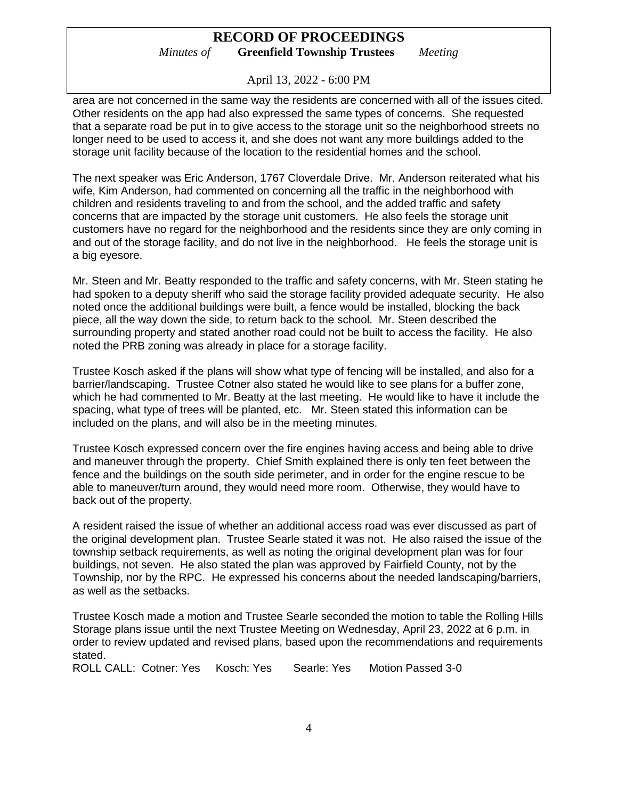April 13, 2022 - 6:00 PM

area are not concerned in the same way the residents are concerned with all of the issues cited. Other residents on the app had also expressed the same types of concerns. She requested that a separate road be put in to give access to the storage unit so the neighborhood streets no longer need to be used to access it, and she does not want any more buildings added to the storage unit facility because of the location to the residential homes and the school.

The next speaker was Eric Anderson, 1767 Cloverdale Drive. Mr. Anderson reiterated what his wife, Kim Anderson, had commented on concerning all the traffic in the neighborhood with children and residents traveling to and from the school, and the added traffic and safety concerns that are impacted by the storage unit customers. He also feels the storage unit customers have no regard for the neighborhood and the residents since they are only coming in and out of the storage facility, and do not live in the neighborhood. He feels the storage unit is a big eyesore.

Mr. Steen and Mr. Beatty responded to the traffic and safety concerns, with Mr. Steen stating he had spoken to a deputy sheriff who said the storage facility provided adequate security. He also noted once the additional buildings were built, a fence would be installed, blocking the back piece, all the way down the side, to return back to the school. Mr. Steen described the surrounding property and stated another road could not be built to access the facility. He also noted the PRB zoning was already in place for a storage facility.

Trustee Kosch asked if the plans will show what type of fencing will be installed, and also for a barrier/landscaping. Trustee Cotner also stated he would like to see plans for a buffer zone, which he had commented to Mr. Beatty at the last meeting. He would like to have it include the spacing, what type of trees will be planted, etc. Mr. Steen stated this information can be included on the plans, and will also be in the meeting minutes.

Trustee Kosch expressed concern over the fire engines having access and being able to drive and maneuver through the property. Chief Smith explained there is only ten feet between the fence and the buildings on the south side perimeter, and in order for the engine rescue to be able to maneuver/turn around, they would need more room. Otherwise, they would have to back out of the property.

A resident raised the issue of whether an additional access road was ever discussed as part of the original development plan. Trustee Searle stated it was not. He also raised the issue of the township setback requirements, as well as noting the original development plan was for four buildings, not seven. He also stated the plan was approved by Fairfield County, not by the Township, nor by the RPC. He expressed his concerns about the needed landscaping/barriers, as well as the setbacks.

Trustee Kosch made a motion and Trustee Searle seconded the motion to table the Rolling Hills Storage plans issue until the next Trustee Meeting on Wednesday, April 23, 2022 at 6 p.m. in order to review updated and revised plans, based upon the recommendations and requirements stated.

ROLL CALL: Cotner: Yes Kosch: Yes Searle: Yes Motion Passed 3-0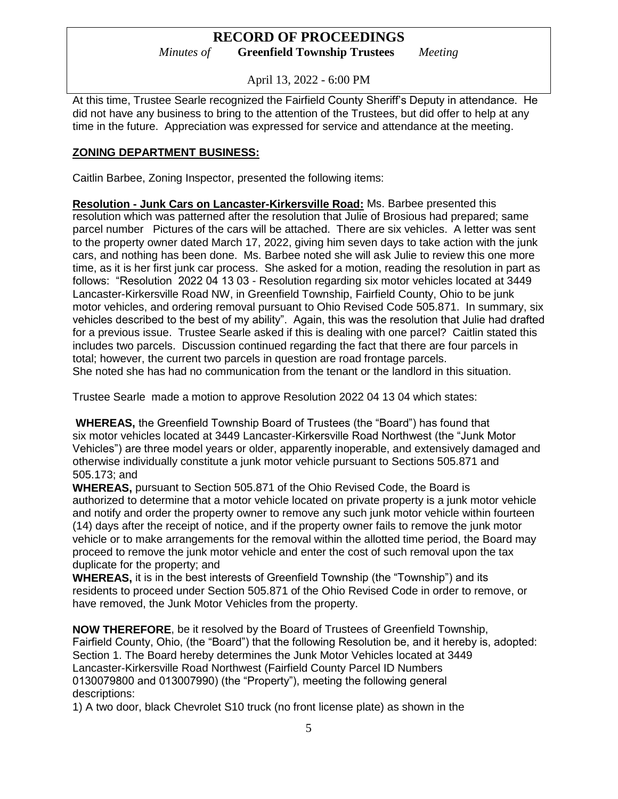April 13, 2022 - 6:00 PM

At this time, Trustee Searle recognized the Fairfield County Sheriff's Deputy in attendance. He did not have any business to bring to the attention of the Trustees, but did offer to help at any time in the future. Appreciation was expressed for service and attendance at the meeting.

### **ZONING DEPARTMENT BUSINESS:**

Caitlin Barbee, Zoning Inspector, presented the following items:

**Resolution - Junk Cars on Lancaster-Kirkersville Road:** Ms. Barbee presented this resolution which was patterned after the resolution that Julie of Brosious had prepared; same parcel number Pictures of the cars will be attached. There are six vehicles. A letter was sent to the property owner dated March 17, 2022, giving him seven days to take action with the junk cars, and nothing has been done. Ms. Barbee noted she will ask Julie to review this one more time, as it is her first junk car process. She asked for a motion, reading the resolution in part as follows: "Resolution 2022 04 13 03 - Resolution regarding six motor vehicles located at 3449 Lancaster-Kirkersville Road NW, in Greenfield Township, Fairfield County, Ohio to be junk motor vehicles, and ordering removal pursuant to Ohio Revised Code 505.871. In summary, six vehicles described to the best of my ability". Again, this was the resolution that Julie had drafted for a previous issue. Trustee Searle asked if this is dealing with one parcel? Caitlin stated this includes two parcels. Discussion continued regarding the fact that there are four parcels in total; however, the current two parcels in question are road frontage parcels. She noted she has had no communication from the tenant or the landlord in this situation.

Trustee Searle made a motion to approve Resolution 2022 04 13 04 which states:

**WHEREAS,** the Greenfield Township Board of Trustees (the "Board") has found that six motor vehicles located at 3449 Lancaster-Kirkersville Road Northwest (the "Junk Motor Vehicles") are three model years or older, apparently inoperable, and extensively damaged and otherwise individually constitute a junk motor vehicle pursuant to Sections 505.871 and 505.173; and

**WHEREAS,** pursuant to Section 505.871 of the Ohio Revised Code, the Board is authorized to determine that a motor vehicle located on private property is a junk motor vehicle and notify and order the property owner to remove any such junk motor vehicle within fourteen (14) days after the receipt of notice, and if the property owner fails to remove the junk motor vehicle or to make arrangements for the removal within the allotted time period, the Board may proceed to remove the junk motor vehicle and enter the cost of such removal upon the tax duplicate for the property; and

**WHEREAS,** it is in the best interests of Greenfield Township (the "Township") and its residents to proceed under Section 505.871 of the Ohio Revised Code in order to remove, or have removed, the Junk Motor Vehicles from the property.

**NOW THEREFORE**, be it resolved by the Board of Trustees of Greenfield Township, Fairfield County, Ohio, (the "Board") that the following Resolution be, and it hereby is, adopted: Section 1. The Board hereby determines the Junk Motor Vehicles located at 3449 Lancaster-Kirkersville Road Northwest (Fairfield County Parcel ID Numbers 0130079800 and 013007990) (the "Property"), meeting the following general descriptions:

1) A two door, black Chevrolet S10 truck (no front license plate) as shown in the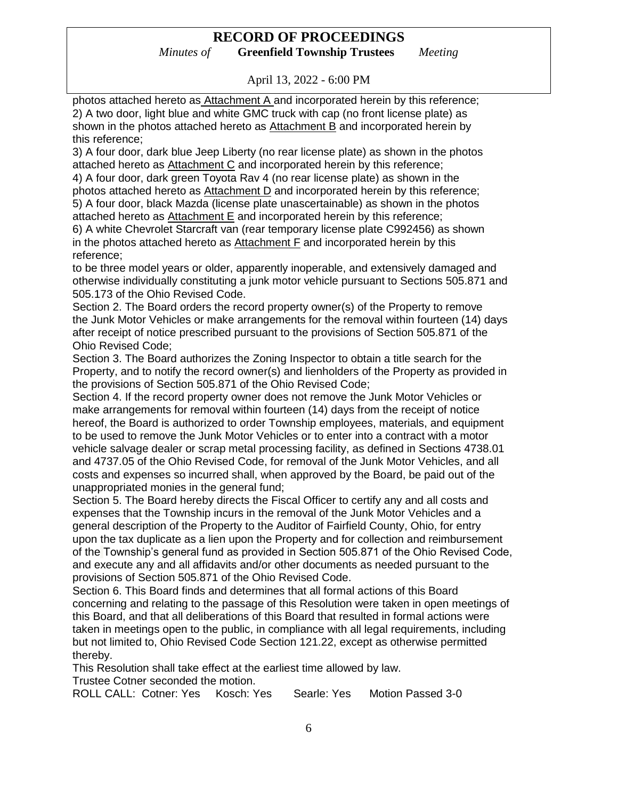# **RECORD OF PROCEEDINGS**

*Minutes of* **Greenfield Township Trustees** *Meeting*

April 13, 2022 - 6:00 PM

photos attached hereto as Attachment A and incorporated herein by this reference; 2) A two door, light blue and white GMC truck with cap (no front license plate) as shown in the photos attached hereto as Attachment B and incorporated herein by this reference;

3) A four door, dark blue Jeep Liberty (no rear license plate) as shown in the photos attached hereto as Attachment C and incorporated herein by this reference;

4) A four door, dark green Toyota Rav 4 (no rear license plate) as shown in the photos attached hereto as Attachment D and incorporated herein by this reference; 5) A four door, black Mazda (license plate unascertainable) as shown in the photos attached hereto as Attachment E and incorporated herein by this reference;

6) A white Chevrolet Starcraft van (rear temporary license plate C992456) as shown in the photos attached hereto as Attachment F and incorporated herein by this reference;

to be three model years or older, apparently inoperable, and extensively damaged and otherwise individually constituting a junk motor vehicle pursuant to Sections 505.871 and 505.173 of the Ohio Revised Code.

Section 2. The Board orders the record property owner(s) of the Property to remove the Junk Motor Vehicles or make arrangements for the removal within fourteen (14) days after receipt of notice prescribed pursuant to the provisions of Section 505.871 of the Ohio Revised Code;

Section 3. The Board authorizes the Zoning Inspector to obtain a title search for the Property, and to notify the record owner(s) and lienholders of the Property as provided in the provisions of Section 505.871 of the Ohio Revised Code;

Section 4. If the record property owner does not remove the Junk Motor Vehicles or make arrangements for removal within fourteen (14) days from the receipt of notice hereof, the Board is authorized to order Township employees, materials, and equipment to be used to remove the Junk Motor Vehicles or to enter into a contract with a motor vehicle salvage dealer or scrap metal processing facility, as defined in Sections 4738.01 and 4737.05 of the Ohio Revised Code, for removal of the Junk Motor Vehicles, and all costs and expenses so incurred shall, when approved by the Board, be paid out of the unappropriated monies in the general fund;

Section 5. The Board hereby directs the Fiscal Officer to certify any and all costs and expenses that the Township incurs in the removal of the Junk Motor Vehicles and a general description of the Property to the Auditor of Fairfield County, Ohio, for entry upon the tax duplicate as a lien upon the Property and for collection and reimbursement of the Township's general fund as provided in Section 505.871 of the Ohio Revised Code, and execute any and all affidavits and/or other documents as needed pursuant to the provisions of Section 505.871 of the Ohio Revised Code.

Section 6. This Board finds and determines that all formal actions of this Board concerning and relating to the passage of this Resolution were taken in open meetings of this Board, and that all deliberations of this Board that resulted in formal actions were taken in meetings open to the public, in compliance with all legal requirements, including but not limited to, Ohio Revised Code Section 121.22, except as otherwise permitted thereby.

This Resolution shall take effect at the earliest time allowed by law.

Trustee Cotner seconded the motion.

ROLL CALL: Cotner: Yes Kosch: Yes Searle: Yes Motion Passed 3-0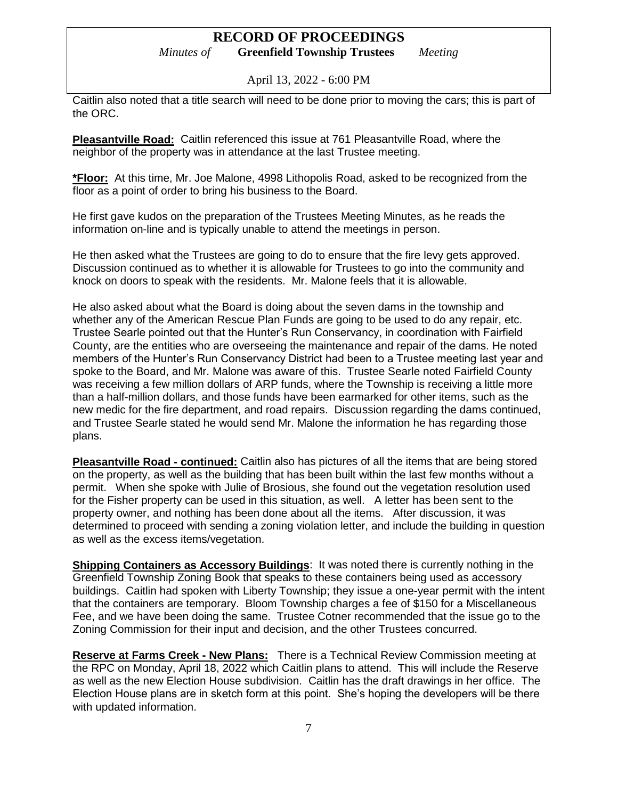# **RECORD OF PROCEEDINGS**

*Minutes of* **Greenfield Township Trustees** *Meeting*

April 13, 2022 - 6:00 PM

Caitlin also noted that a title search will need to be done prior to moving the cars; this is part of the ORC.

**Pleasantville Road:** Caitlin referenced this issue at 761 Pleasantville Road, where the neighbor of the property was in attendance at the last Trustee meeting.

**\*Floor:** At this time, Mr. Joe Malone, 4998 Lithopolis Road, asked to be recognized from the floor as a point of order to bring his business to the Board.

He first gave kudos on the preparation of the Trustees Meeting Minutes, as he reads the information on-line and is typically unable to attend the meetings in person.

He then asked what the Trustees are going to do to ensure that the fire levy gets approved. Discussion continued as to whether it is allowable for Trustees to go into the community and knock on doors to speak with the residents. Mr. Malone feels that it is allowable.

He also asked about what the Board is doing about the seven dams in the township and whether any of the American Rescue Plan Funds are going to be used to do any repair, etc. Trustee Searle pointed out that the Hunter's Run Conservancy, in coordination with Fairfield County, are the entities who are overseeing the maintenance and repair of the dams. He noted members of the Hunter's Run Conservancy District had been to a Trustee meeting last year and spoke to the Board, and Mr. Malone was aware of this. Trustee Searle noted Fairfield County was receiving a few million dollars of ARP funds, where the Township is receiving a little more than a half-million dollars, and those funds have been earmarked for other items, such as the new medic for the fire department, and road repairs. Discussion regarding the dams continued, and Trustee Searle stated he would send Mr. Malone the information he has regarding those plans.

**Pleasantville Road - continued:** Caitlin also has pictures of all the items that are being stored on the property, as well as the building that has been built within the last few months without a permit. When she spoke with Julie of Brosious, she found out the vegetation resolution used for the Fisher property can be used in this situation, as well. A letter has been sent to the property owner, and nothing has been done about all the items. After discussion, it was determined to proceed with sending a zoning violation letter, and include the building in question as well as the excess items/vegetation.

**Shipping Containers as Accessory Buildings:** It was noted there is currently nothing in the Greenfield Township Zoning Book that speaks to these containers being used as accessory buildings. Caitlin had spoken with Liberty Township; they issue a one-year permit with the intent that the containers are temporary. Bloom Township charges a fee of \$150 for a Miscellaneous Fee, and we have been doing the same. Trustee Cotner recommended that the issue go to the Zoning Commission for their input and decision, and the other Trustees concurred.

**Reserve at Farms Creek - New Plans:** There is a Technical Review Commission meeting at the RPC on Monday, April 18, 2022 which Caitlin plans to attend. This will include the Reserve as well as the new Election House subdivision. Caitlin has the draft drawings in her office. The Election House plans are in sketch form at this point. She's hoping the developers will be there with updated information.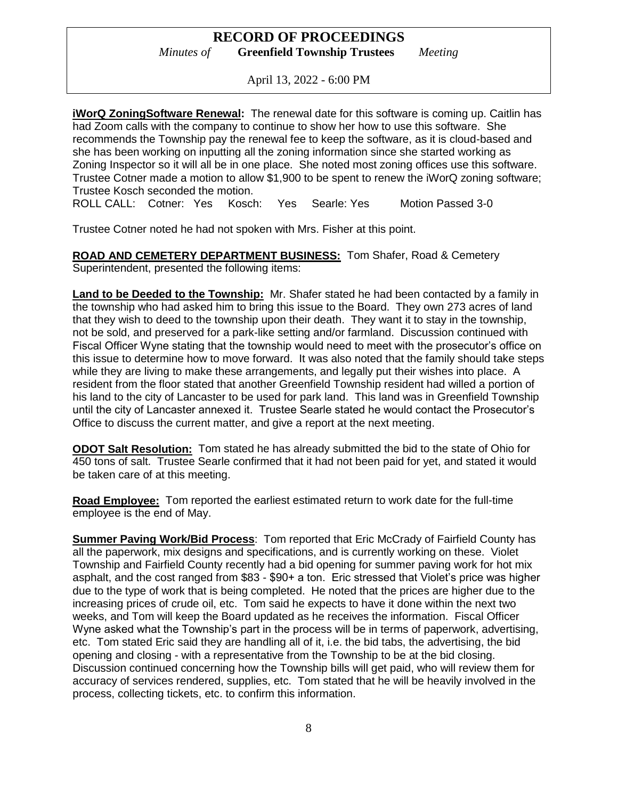April 13, 2022 - 6:00 PM

**iWorQ ZoningSoftware Renewal:** The renewal date for this software is coming up. Caitlin has had Zoom calls with the company to continue to show her how to use this software. She recommends the Township pay the renewal fee to keep the software, as it is cloud-based and she has been working on inputting all the zoning information since she started working as Zoning Inspector so it will all be in one place. She noted most zoning offices use this software. Trustee Cotner made a motion to allow \$1,900 to be spent to renew the iWorQ zoning software; Trustee Kosch seconded the motion.

ROLL CALL: Cotner: Yes Kosch: Yes Searle: Yes Motion Passed 3-0

Trustee Cotner noted he had not spoken with Mrs. Fisher at this point.

**ROAD AND CEMETERY DEPARTMENT BUSINESS:** Tom Shafer, Road & Cemetery Superintendent, presented the following items:

**Land to be Deeded to the Township:** Mr. Shafer stated he had been contacted by a family in the township who had asked him to bring this issue to the Board. They own 273 acres of land that they wish to deed to the township upon their death. They want it to stay in the township, not be sold, and preserved for a park-like setting and/or farmland. Discussion continued with Fiscal Officer Wyne stating that the township would need to meet with the prosecutor's office on this issue to determine how to move forward. It was also noted that the family should take steps while they are living to make these arrangements, and legally put their wishes into place. A resident from the floor stated that another Greenfield Township resident had willed a portion of his land to the city of Lancaster to be used for park land. This land was in Greenfield Township until the city of Lancaster annexed it. Trustee Searle stated he would contact the Prosecutor's Office to discuss the current matter, and give a report at the next meeting.

**ODOT Salt Resolution:** Tom stated he has already submitted the bid to the state of Ohio for 450 tons of salt. Trustee Searle confirmed that it had not been paid for yet, and stated it would be taken care of at this meeting.

**Road Employee:** Tom reported the earliest estimated return to work date for the full-time employee is the end of May.

**Summer Paving Work/Bid Process:** Tom reported that Eric McCrady of Fairfield County has all the paperwork, mix designs and specifications, and is currently working on these. Violet Township and Fairfield County recently had a bid opening for summer paving work for hot mix asphalt, and the cost ranged from \$83 - \$90+ a ton. Eric stressed that Violet's price was higher due to the type of work that is being completed. He noted that the prices are higher due to the increasing prices of crude oil, etc. Tom said he expects to have it done within the next two weeks, and Tom will keep the Board updated as he receives the information. Fiscal Officer Wyne asked what the Township's part in the process will be in terms of paperwork, advertising, etc. Tom stated Eric said they are handling all of it, i.e. the bid tabs, the advertising, the bid opening and closing - with a representative from the Township to be at the bid closing. Discussion continued concerning how the Township bills will get paid, who will review them for accuracy of services rendered, supplies, etc. Tom stated that he will be heavily involved in the process, collecting tickets, etc. to confirm this information.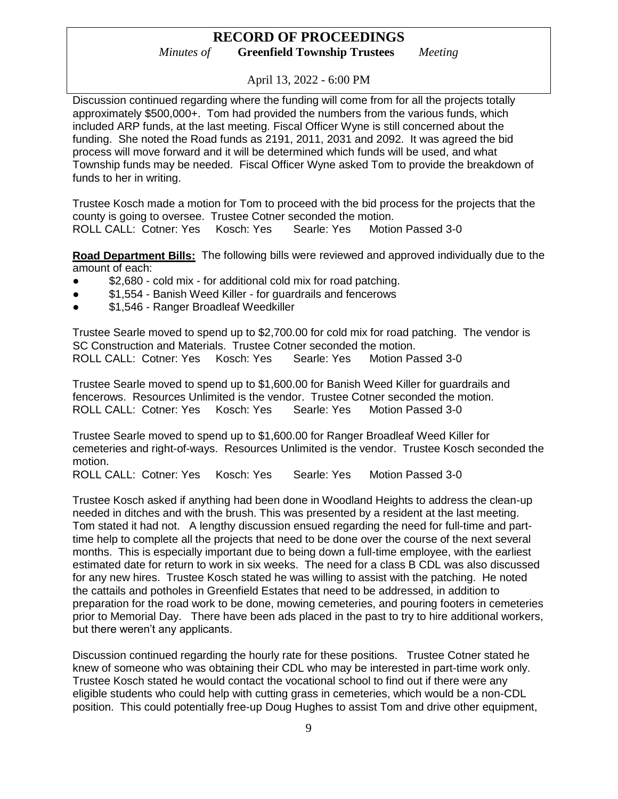April 13, 2022 - 6:00 PM

Discussion continued regarding where the funding will come from for all the projects totally approximately \$500,000+. Tom had provided the numbers from the various funds, which included ARP funds, at the last meeting. Fiscal Officer Wyne is still concerned about the funding. She noted the Road funds as 2191, 2011, 2031 and 2092. It was agreed the bid process will move forward and it will be determined which funds will be used, and what Township funds may be needed. Fiscal Officer Wyne asked Tom to provide the breakdown of funds to her in writing.

Trustee Kosch made a motion for Tom to proceed with the bid process for the projects that the county is going to oversee. Trustee Cotner seconded the motion. ROLL CALL: Cotner: Yes Kosch: Yes Searle: Yes Motion Passed 3-0

**Road Department Bills:** The following bills were reviewed and approved individually due to the amount of each:

- \$2,680 cold mix for additional cold mix for road patching.
- \$1,554 Banish Weed Killer for guardrails and fencerows
- \$1,546 Ranger Broadleaf Weedkiller

Trustee Searle moved to spend up to \$2,700.00 for cold mix for road patching. The vendor is SC Construction and Materials. Trustee Cotner seconded the motion. ROLL CALL: Cotner: Yes Kosch: Yes Searle: Yes Motion Passed 3-0

Trustee Searle moved to spend up to \$1,600.00 for Banish Weed Killer for guardrails and fencerows. Resources Unlimited is the vendor. Trustee Cotner seconded the motion. ROLL CALL: Cotner: Yes Kosch: Yes Searle: Yes Motion Passed 3-0

Trustee Searle moved to spend up to \$1,600.00 for Ranger Broadleaf Weed Killer for cemeteries and right-of-ways. Resources Unlimited is the vendor. Trustee Kosch seconded the motion.

ROLL CALL: Cotner: Yes Kosch: Yes Searle: Yes Motion Passed 3-0

Trustee Kosch asked if anything had been done in Woodland Heights to address the clean-up needed in ditches and with the brush. This was presented by a resident at the last meeting. Tom stated it had not. A lengthy discussion ensued regarding the need for full-time and parttime help to complete all the projects that need to be done over the course of the next several months. This is especially important due to being down a full-time employee, with the earliest estimated date for return to work in six weeks. The need for a class B CDL was also discussed for any new hires. Trustee Kosch stated he was willing to assist with the patching. He noted the cattails and potholes in Greenfield Estates that need to be addressed, in addition to preparation for the road work to be done, mowing cemeteries, and pouring footers in cemeteries prior to Memorial Day. There have been ads placed in the past to try to hire additional workers, but there weren't any applicants.

Discussion continued regarding the hourly rate for these positions. Trustee Cotner stated he knew of someone who was obtaining their CDL who may be interested in part-time work only. Trustee Kosch stated he would contact the vocational school to find out if there were any eligible students who could help with cutting grass in cemeteries, which would be a non-CDL position. This could potentially free-up Doug Hughes to assist Tom and drive other equipment,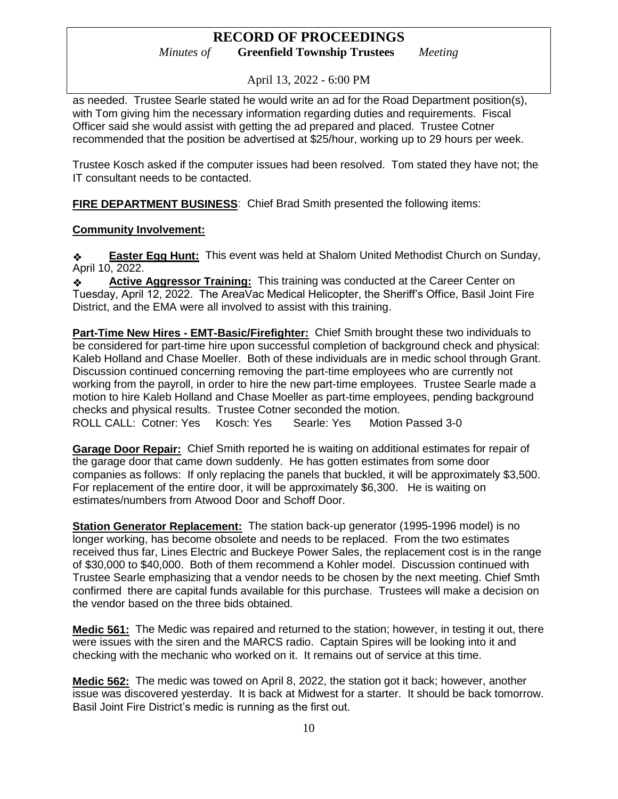April 13, 2022 - 6:00 PM

as needed. Trustee Searle stated he would write an ad for the Road Department position(s), with Tom giving him the necessary information regarding duties and requirements. Fiscal Officer said she would assist with getting the ad prepared and placed. Trustee Cotner recommended that the position be advertised at \$25/hour, working up to 29 hours per week.

Trustee Kosch asked if the computer issues had been resolved. Tom stated they have not; the IT consultant needs to be contacted.

**FIRE DEPARTMENT BUSINESS**: Chief Brad Smith presented the following items:

### **Community Involvement:**

❖ **Easter Egg Hunt:** This event was held at Shalom United Methodist Church on Sunday, April 10, 2022.

❖ **Active Aggressor Training:** This training was conducted at the Career Center on Tuesday, April 12, 2022. The AreaVac Medical Helicopter, the Sheriff's Office, Basil Joint Fire District, and the EMA were all involved to assist with this training.

**Part-Time New Hires - EMT-Basic/Firefighter:** Chief Smith brought these two individuals to be considered for part-time hire upon successful completion of background check and physical: Kaleb Holland and Chase Moeller. Both of these individuals are in medic school through Grant. Discussion continued concerning removing the part-time employees who are currently not working from the payroll, in order to hire the new part-time employees. Trustee Searle made a motion to hire Kaleb Holland and Chase Moeller as part-time employees, pending background checks and physical results. Trustee Cotner seconded the motion. ROLL CALL: Cotner: Yes Kosch: Yes Searle: Yes Motion Passed 3-0

**Garage Door Repair:** Chief Smith reported he is waiting on additional estimates for repair of the garage door that came down suddenly. He has gotten estimates from some door companies as follows: If only replacing the panels that buckled, it will be approximately \$3,500. For replacement of the entire door, it will be approximately \$6,300. He is waiting on estimates/numbers from Atwood Door and Schoff Door.

**Station Generator Replacement:** The station back-up generator (1995-1996 model) is no longer working, has become obsolete and needs to be replaced. From the two estimates received thus far, Lines Electric and Buckeye Power Sales, the replacement cost is in the range of \$30,000 to \$40,000. Both of them recommend a Kohler model. Discussion continued with Trustee Searle emphasizing that a vendor needs to be chosen by the next meeting. Chief Smth confirmed there are capital funds available for this purchase. Trustees will make a decision on the vendor based on the three bids obtained.

**Medic 561:** The Medic was repaired and returned to the station; however, in testing it out, there were issues with the siren and the MARCS radio. Captain Spires will be looking into it and checking with the mechanic who worked on it. It remains out of service at this time.

**Medic 562:** The medic was towed on April 8, 2022, the station got it back; however, another issue was discovered yesterday. It is back at Midwest for a starter. It should be back tomorrow. Basil Joint Fire District's medic is running as the first out.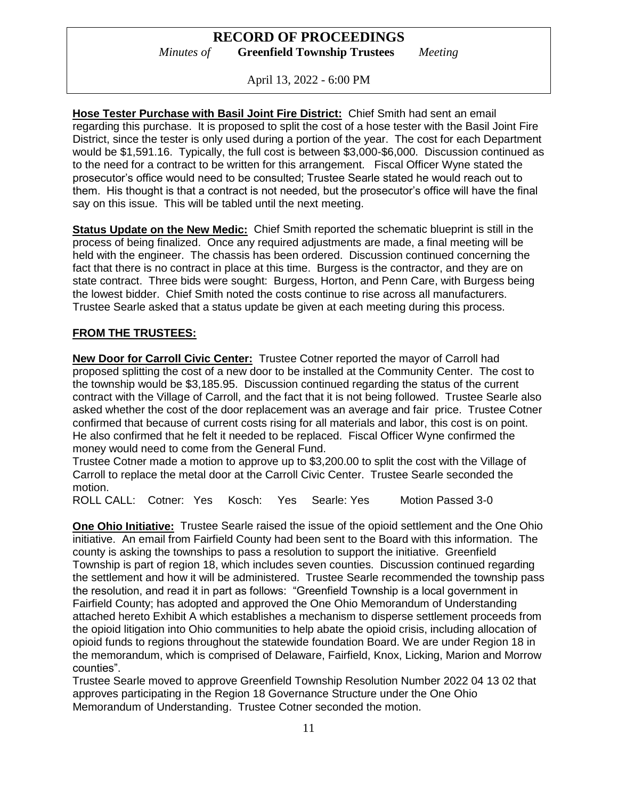April 13, 2022 - 6:00 PM

**Hose Tester Purchase with Basil Joint Fire District:** Chief Smith had sent an email regarding this purchase. It is proposed to split the cost of a hose tester with the Basil Joint Fire District, since the tester is only used during a portion of the year. The cost for each Department would be \$1,591.16. Typically, the full cost is between \$3,000-\$6,000. Discussion continued as to the need for a contract to be written for this arrangement. Fiscal Officer Wyne stated the prosecutor's office would need to be consulted; Trustee Searle stated he would reach out to them. His thought is that a contract is not needed, but the prosecutor's office will have the final say on this issue. This will be tabled until the next meeting.

**Status Update on the New Medic:** Chief Smith reported the schematic blueprint is still in the process of being finalized. Once any required adjustments are made, a final meeting will be held with the engineer. The chassis has been ordered. Discussion continued concerning the fact that there is no contract in place at this time. Burgess is the contractor, and they are on state contract. Three bids were sought: Burgess, Horton, and Penn Care, with Burgess being the lowest bidder. Chief Smith noted the costs continue to rise across all manufacturers. Trustee Searle asked that a status update be given at each meeting during this process.

### **FROM THE TRUSTEES:**

**New Door for Carroll Civic Center:** Trustee Cotner reported the mayor of Carroll had proposed splitting the cost of a new door to be installed at the Community Center. The cost to the township would be \$3,185.95. Discussion continued regarding the status of the current contract with the Village of Carroll, and the fact that it is not being followed. Trustee Searle also asked whether the cost of the door replacement was an average and fair price. Trustee Cotner confirmed that because of current costs rising for all materials and labor, this cost is on point. He also confirmed that he felt it needed to be replaced. Fiscal Officer Wyne confirmed the money would need to come from the General Fund.

Trustee Cotner made a motion to approve up to \$3,200.00 to split the cost with the Village of Carroll to replace the metal door at the Carroll Civic Center. Trustee Searle seconded the motion.

ROLL CALL: Cotner: Yes Kosch: Yes Searle: Yes Motion Passed 3-0

**One Ohio Initiative:** Trustee Searle raised the issue of the opioid settlement and the One Ohio initiative. An email from Fairfield County had been sent to the Board with this information. The county is asking the townships to pass a resolution to support the initiative. Greenfield Township is part of region 18, which includes seven counties. Discussion continued regarding the settlement and how it will be administered. Trustee Searle recommended the township pass the resolution, and read it in part as follows: "Greenfield Township is a local government in Fairfield County; has adopted and approved the One Ohio Memorandum of Understanding attached hereto Exhibit A which establishes a mechanism to disperse settlement proceeds from the opioid litigation into Ohio communities to help abate the opioid crisis, including allocation of opioid funds to regions throughout the statewide foundation Board. We are under Region 18 in the memorandum, which is comprised of Delaware, Fairfield, Knox, Licking, Marion and Morrow counties".

Trustee Searle moved to approve Greenfield Township Resolution Number 2022 04 13 02 that approves participating in the Region 18 Governance Structure under the One Ohio Memorandum of Understanding. Trustee Cotner seconded the motion.